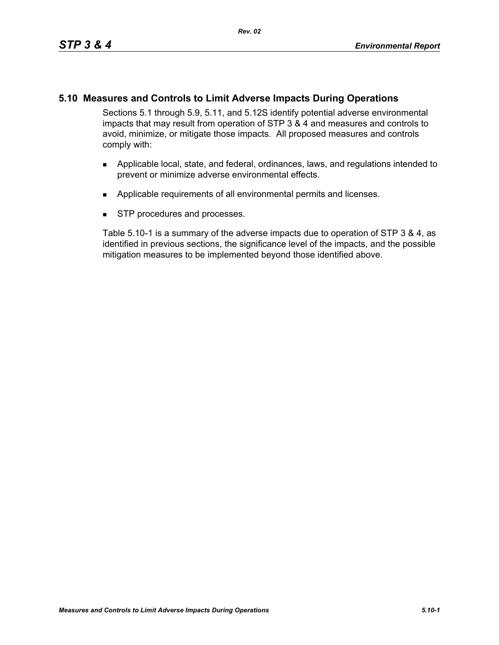# **5.10 Measures and Controls to Limit Adverse Impacts During Operations**

Sections 5.1 through 5.9, 5.11, and 5.12S identify potential adverse environmental impacts that may result from operation of STP 3 & 4 and measures and controls to avoid, minimize, or mitigate those impacts. All proposed measures and controls comply with:

- **Applicable local, state, and federal, ordinances, laws, and regulations intended to** prevent or minimize adverse environmental effects.
- **Applicable requirements of all environmental permits and licenses.**
- **STP** procedures and processes.

Table 5.10-1 is a summary of the adverse impacts due to operation of STP 3 & 4, as identified in previous sections, the significance level of the impacts, and the possible mitigation measures to be implemented beyond those identified above.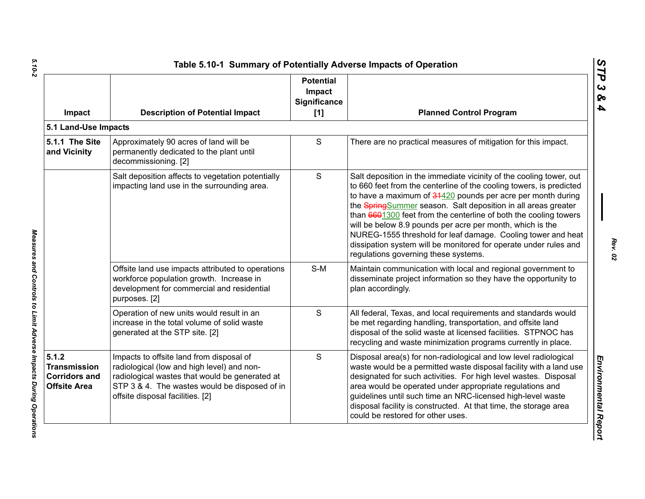| Impact                                                                      | <b>Description of Potential Impact</b>                                                                                                                                                                                        | <b>Potential</b><br>Impact<br>Significance<br>[1] | <b>Planned Control Program</b>                                                                                                                                                                                                                                                                                                                                                                                                                                                                                                                                                          |
|-----------------------------------------------------------------------------|-------------------------------------------------------------------------------------------------------------------------------------------------------------------------------------------------------------------------------|---------------------------------------------------|-----------------------------------------------------------------------------------------------------------------------------------------------------------------------------------------------------------------------------------------------------------------------------------------------------------------------------------------------------------------------------------------------------------------------------------------------------------------------------------------------------------------------------------------------------------------------------------------|
| 5.1 Land-Use Impacts                                                        |                                                                                                                                                                                                                               |                                                   |                                                                                                                                                                                                                                                                                                                                                                                                                                                                                                                                                                                         |
| 5.1.1 The Site<br>and Vicinity                                              | Approximately 90 acres of land will be<br>permanently dedicated to the plant until<br>decommissioning. [2]                                                                                                                    | S                                                 | There are no practical measures of mitigation for this impact.                                                                                                                                                                                                                                                                                                                                                                                                                                                                                                                          |
|                                                                             | Salt deposition affects to vegetation potentially<br>impacting land use in the surrounding area.                                                                                                                              | S                                                 | Salt deposition in the immediate vicinity of the cooling tower, out<br>to 660 feet from the centerline of the cooling towers, is predicted<br>to have a maximum of 34420 pounds per acre per month during<br>the SpringSummer season. Salt deposition in all areas greater<br>than 6601300 feet from the centerline of both the cooling towers<br>will be below 8.9 pounds per acre per month, which is the<br>NUREG-1555 threshold for leaf damage. Cooling tower and heat<br>dissipation system will be monitored for operate under rules and<br>regulations governing these systems. |
|                                                                             | Offsite land use impacts attributed to operations<br>workforce population growth. Increase in<br>development for commercial and residential<br>purposes. [2]                                                                  | $S-M$                                             | Maintain communication with local and regional government to<br>disseminate project information so they have the opportunity to<br>plan accordingly.                                                                                                                                                                                                                                                                                                                                                                                                                                    |
|                                                                             | Operation of new units would result in an<br>increase in the total volume of solid waste<br>generated at the STP site. [2]                                                                                                    | S                                                 | All federal, Texas, and local requirements and standards would<br>be met regarding handling, transportation, and offsite land<br>disposal of the solid waste at licensed facilities. STPNOC has<br>recycling and waste minimization programs currently in place.                                                                                                                                                                                                                                                                                                                        |
| 5.1.2<br><b>Transmission</b><br><b>Corridors and</b><br><b>Offsite Area</b> | Impacts to offsite land from disposal of<br>radiological (low and high level) and non-<br>radiological wastes that would be generated at<br>STP 3 & 4. The wastes would be disposed of in<br>offsite disposal facilities. [2] | S                                                 | Disposal area(s) for non-radiological and low level radiological<br>waste would be a permitted waste disposal facility with a land use<br>designated for such activities. For high level wastes. Disposal<br>area would be operated under appropriate regulations and<br>guidelines until such time an NRC-licensed high-level waste<br>disposal facility is constructed. At that time, the storage area<br>could be restored for other uses.                                                                                                                                           |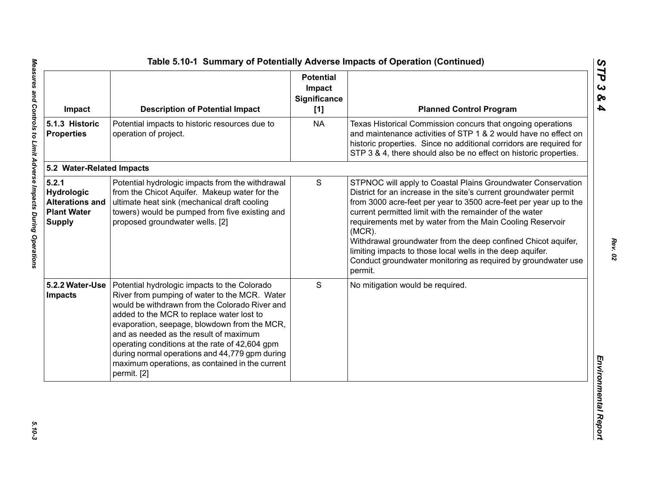| Impact                                                                               | <b>Description of Potential Impact</b>                                                                                                                                                                                                                                                                                                                                                                                                                       | <b>Potential</b><br>Impact<br><b>Significance</b><br>[1] | <b>Planned Control Program</b>                                                                                                                                                                                                                                                                                                                                                                                                                                                                                                                         |
|--------------------------------------------------------------------------------------|--------------------------------------------------------------------------------------------------------------------------------------------------------------------------------------------------------------------------------------------------------------------------------------------------------------------------------------------------------------------------------------------------------------------------------------------------------------|----------------------------------------------------------|--------------------------------------------------------------------------------------------------------------------------------------------------------------------------------------------------------------------------------------------------------------------------------------------------------------------------------------------------------------------------------------------------------------------------------------------------------------------------------------------------------------------------------------------------------|
| 5.1.3 Historic<br><b>Properties</b>                                                  | Potential impacts to historic resources due to<br>operation of project.                                                                                                                                                                                                                                                                                                                                                                                      | <b>NA</b>                                                | Texas Historical Commission concurs that ongoing operations<br>and maintenance activities of STP 1 & 2 would have no effect on<br>historic properties. Since no additional corridors are required for<br>STP 3 & 4, there should also be no effect on historic properties.                                                                                                                                                                                                                                                                             |
| 5.2 Water-Related Impacts                                                            |                                                                                                                                                                                                                                                                                                                                                                                                                                                              |                                                          |                                                                                                                                                                                                                                                                                                                                                                                                                                                                                                                                                        |
| 5.2.1<br>Hydrologic<br><b>Alterations and</b><br><b>Plant Water</b><br><b>Supply</b> | Potential hydrologic impacts from the withdrawal<br>from the Chicot Aquifer. Makeup water for the<br>ultimate heat sink (mechanical draft cooling<br>towers) would be pumped from five existing and<br>proposed groundwater wells. [2]                                                                                                                                                                                                                       | $\mathsf S$                                              | STPNOC will apply to Coastal Plains Groundwater Conservation<br>District for an increase in the site's current groundwater permit<br>from 3000 acre-feet per year to 3500 acre-feet per year up to the<br>current permitted limit with the remainder of the water<br>requirements met by water from the Main Cooling Reservoir<br>$(MCR)$ .<br>Withdrawal groundwater from the deep confined Chicot aquifer,<br>limiting impacts to those local wells in the deep aquifer.<br>Conduct groundwater monitoring as required by groundwater use<br>permit. |
| 5.2.2 Water-Use<br><b>Impacts</b>                                                    | Potential hydrologic impacts to the Colorado<br>River from pumping of water to the MCR. Water<br>would be withdrawn from the Colorado River and<br>added to the MCR to replace water lost to<br>evaporation, seepage, blowdown from the MCR,<br>and as needed as the result of maximum<br>operating conditions at the rate of 42,604 gpm<br>during normal operations and 44,779 gpm during<br>maximum operations, as contained in the current<br>permit. [2] | S                                                        | No mitigation would be required.                                                                                                                                                                                                                                                                                                                                                                                                                                                                                                                       |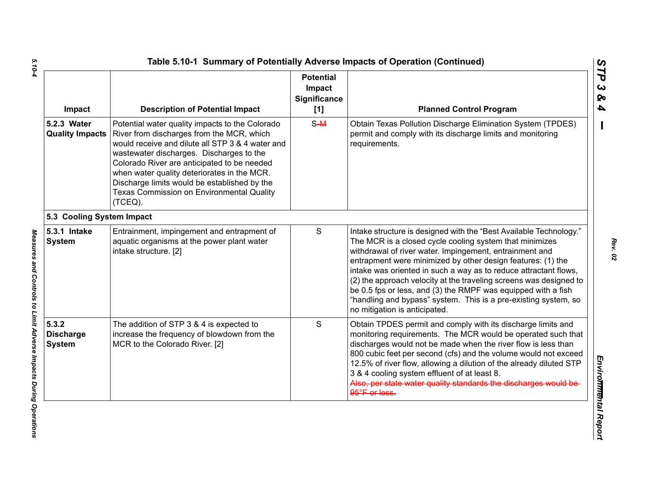|                           | Impact                                     | <b>Description of Potential Impact</b>                                                                                                                                                                                                                                                                                                                                                                    | <b>Potential</b><br>Impact<br><b>Significance</b><br>[1] | <b>Planned Control Program</b>                                                                                                                                                                                                                                                                                                                                                                                                                                                                                                                                         |  |  |  |
|---------------------------|--------------------------------------------|-----------------------------------------------------------------------------------------------------------------------------------------------------------------------------------------------------------------------------------------------------------------------------------------------------------------------------------------------------------------------------------------------------------|----------------------------------------------------------|------------------------------------------------------------------------------------------------------------------------------------------------------------------------------------------------------------------------------------------------------------------------------------------------------------------------------------------------------------------------------------------------------------------------------------------------------------------------------------------------------------------------------------------------------------------------|--|--|--|
|                           | 5.2.3 Water<br><b>Quality Impacts</b>      | Potential water quality impacts to the Colorado<br>River from discharges from the MCR, which<br>would receive and dilute all STP 3 & 4 water and<br>wastewater discharges. Discharges to the<br>Colorado River are anticipated to be needed<br>when water quality deteriorates in the MCR.<br>Discharge limits would be established by the<br><b>Texas Commission on Environmental Quality</b><br>(TCEQ). | $S-M$                                                    | Obtain Texas Pollution Discharge Elimination System (TPDES)<br>permit and comply with its discharge limits and monitoring<br>requirements.                                                                                                                                                                                                                                                                                                                                                                                                                             |  |  |  |
| 5.3 Cooling System Impact |                                            |                                                                                                                                                                                                                                                                                                                                                                                                           |                                                          |                                                                                                                                                                                                                                                                                                                                                                                                                                                                                                                                                                        |  |  |  |
|                           | 5.3.1 Intake<br><b>System</b>              | Entrainment, impingement and entrapment of<br>aquatic organisms at the power plant water<br>intake structure. [2]                                                                                                                                                                                                                                                                                         | ${\mathsf S}$                                            | Intake structure is designed with the "Best Available Technology."<br>The MCR is a closed cycle cooling system that minimizes<br>withdrawal of river water. Impingement, entrainment and<br>entrapment were minimized by other design features: (1) the<br>intake was oriented in such a way as to reduce attractant flows,<br>(2) the approach velocity at the traveling screens was designed to<br>be 0.5 fps or less, and (3) the RMPF was equipped with a fish<br>"handling and bypass" system. This is a pre-existing system, so<br>no mitigation is anticipated. |  |  |  |
|                           | 5.3.2<br><b>Discharge</b><br><b>System</b> | The addition of STP 3 & 4 is expected to<br>increase the frequency of blowdown from the<br>MCR to the Colorado River. [2]                                                                                                                                                                                                                                                                                 | S                                                        | Obtain TPDES permit and comply with its discharge limits and<br>monitoring requirements. The MCR would be operated such that<br>discharges would not be made when the river flow is less than<br>800 cubic feet per second (cfs) and the volume would not exceed<br>12.5% of river flow, allowing a dilution of the already diluted STP<br>3 & 4 cooling system effluent of at least 8.<br>Also, per state water quality standards the discharges would be<br>95°F or less.                                                                                            |  |  |  |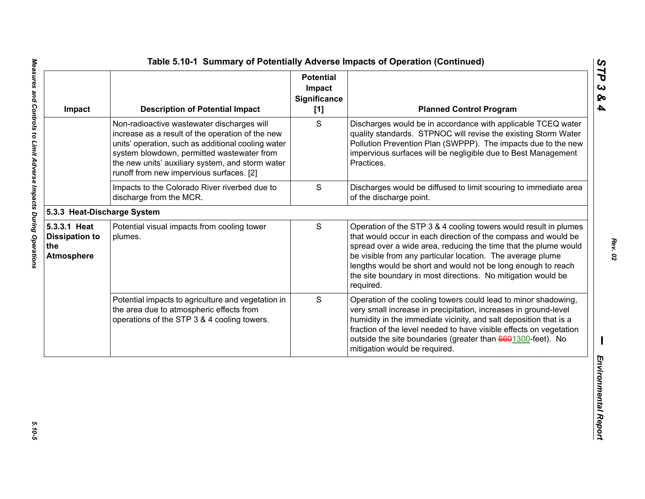| Impact                                                            | <b>Description of Potential Impact</b>                                                                                                                                                                                                                                                             | <b>Potential</b><br>Impact<br>Significance<br>[1] | <b>Planned Control Program</b>                                                                                                                                                                                                                                                                                                                                                                                   |
|-------------------------------------------------------------------|----------------------------------------------------------------------------------------------------------------------------------------------------------------------------------------------------------------------------------------------------------------------------------------------------|---------------------------------------------------|------------------------------------------------------------------------------------------------------------------------------------------------------------------------------------------------------------------------------------------------------------------------------------------------------------------------------------------------------------------------------------------------------------------|
|                                                                   | Non-radioactive wastewater discharges will<br>increase as a result of the operation of the new<br>units' operation, such as additional cooling water<br>system blowdown, permitted wastewater from<br>the new units' auxiliary system, and storm water<br>runoff from new impervious surfaces. [2] | S                                                 | Discharges would be in accordance with applicable TCEQ water<br>quality standards. STPNOC will revise the existing Storm Water<br>Pollution Prevention Plan (SWPPP). The impacts due to the new<br>impervious surfaces will be negligible due to Best Management<br>Practices.                                                                                                                                   |
|                                                                   | Impacts to the Colorado River riverbed due to<br>discharge from the MCR.                                                                                                                                                                                                                           | $\mathbf S$                                       | Discharges would be diffused to limit scouring to immediate area<br>of the discharge point.                                                                                                                                                                                                                                                                                                                      |
| 5.3.3 Heat-Discharge System                                       |                                                                                                                                                                                                                                                                                                    |                                                   |                                                                                                                                                                                                                                                                                                                                                                                                                  |
| 5.3.3.1 Heat<br><b>Dissipation to</b><br>the<br><b>Atmosphere</b> | Potential visual impacts from cooling tower<br>plumes.                                                                                                                                                                                                                                             | S                                                 | Operation of the STP 3 & 4 cooling towers would result in plumes<br>that would occur in each direction of the compass and would be<br>spread over a wide area, reducing the time that the plume would<br>be visible from any particular location. The average plume<br>lengths would be short and would not be long enough to reach<br>the site boundary in most directions. No mitigation would be<br>required. |
|                                                                   | Potential impacts to agriculture and vegetation in<br>the area due to atmospheric effects from<br>operations of the STP 3 & 4 cooling towers.                                                                                                                                                      | S                                                 | Operation of the cooling towers could lead to minor shadowing,<br>very small increase in precipitation, increases in ground-level<br>humidity in the immediate vicinity, and salt deposition that is a<br>fraction of the level needed to have visible effects on vegetation<br>outside the site boundaries (greater than 6601300-feet). No<br>mitigation would be required.                                     |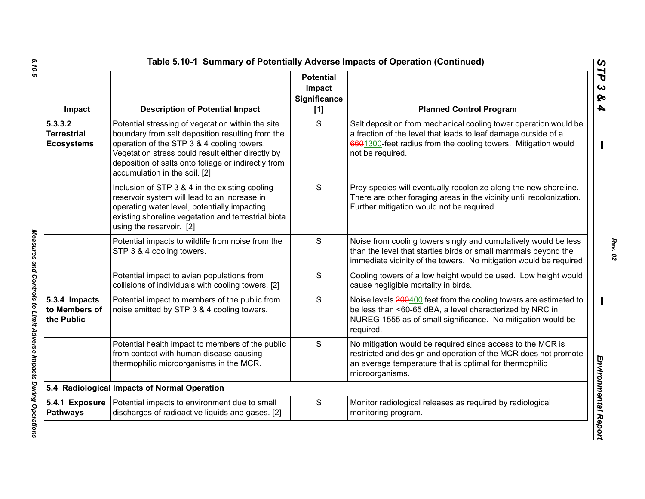| Impact                                             | <b>Description of Potential Impact</b>                                                                                                                                                                                                                                                           | <b>Potential</b><br>Impact<br><b>Significance</b><br>[1] | <b>Planned Control Program</b>                                                                                                                                                                                          |
|----------------------------------------------------|--------------------------------------------------------------------------------------------------------------------------------------------------------------------------------------------------------------------------------------------------------------------------------------------------|----------------------------------------------------------|-------------------------------------------------------------------------------------------------------------------------------------------------------------------------------------------------------------------------|
| 5.3.3.2<br><b>Terrestrial</b><br><b>Ecosystems</b> | Potential stressing of vegetation within the site<br>boundary from salt deposition resulting from the<br>operation of the STP 3 & 4 cooling towers.<br>Vegetation stress could result either directly by<br>deposition of salts onto foliage or indirectly from<br>accumulation in the soil. [2] | S                                                        | Salt deposition from mechanical cooling tower operation would be<br>a fraction of the level that leads to leaf damage outside of a<br>6601300-feet radius from the cooling towers. Mitigation would<br>not be required. |
|                                                    | Inclusion of STP 3 & 4 in the existing cooling<br>reservoir system will lead to an increase in<br>operating water level, potentially impacting<br>existing shoreline vegetation and terrestrial biota<br>using the reservoir. [2]                                                                | S                                                        | Prey species will eventually recolonize along the new shoreline.<br>There are other foraging areas in the vicinity until recolonization.<br>Further mitigation would not be required.                                   |
|                                                    | Potential impacts to wildlife from noise from the<br>STP 3 & 4 cooling towers.                                                                                                                                                                                                                   | S                                                        | Noise from cooling towers singly and cumulatively would be less<br>than the level that startles birds or small mammals beyond the<br>immediate vicinity of the towers. No mitigation would be required.                 |
|                                                    | Potential impact to avian populations from<br>collisions of individuals with cooling towers. [2]                                                                                                                                                                                                 | S                                                        | Cooling towers of a low height would be used. Low height would<br>cause negligible mortality in birds.                                                                                                                  |
| 5.3.4 Impacts<br>to Members of<br>the Public       | Potential impact to members of the public from<br>noise emitted by STP 3 & 4 cooling towers.                                                                                                                                                                                                     | S                                                        | Noise levels 200400 feet from the cooling towers are estimated to<br>be less than <60-65 dBA, a level characterized by NRC in<br>NUREG-1555 as of small significance. No mitigation would be<br>required.               |
|                                                    | Potential health impact to members of the public<br>from contact with human disease-causing<br>thermophilic microorganisms in the MCR.                                                                                                                                                           | S                                                        | No mitigation would be required since access to the MCR is<br>restricted and design and operation of the MCR does not promote<br>an average temperature that is optimal for thermophilic<br>microorganisms.             |
|                                                    | 5.4 Radiological Impacts of Normal Operation                                                                                                                                                                                                                                                     |                                                          |                                                                                                                                                                                                                         |
| 5.4.1 Exposure<br><b>Pathways</b>                  | Potential impacts to environment due to small<br>discharges of radioactive liquids and gases. [2]                                                                                                                                                                                                | S                                                        | Monitor radiological releases as required by radiological<br>monitoring program.                                                                                                                                        |

*5.10-6 Measures and Controls to Limit Adverse Impacts During Operations*  Measures and Controls to Limit Adverse Impacts During Operations

5.10-6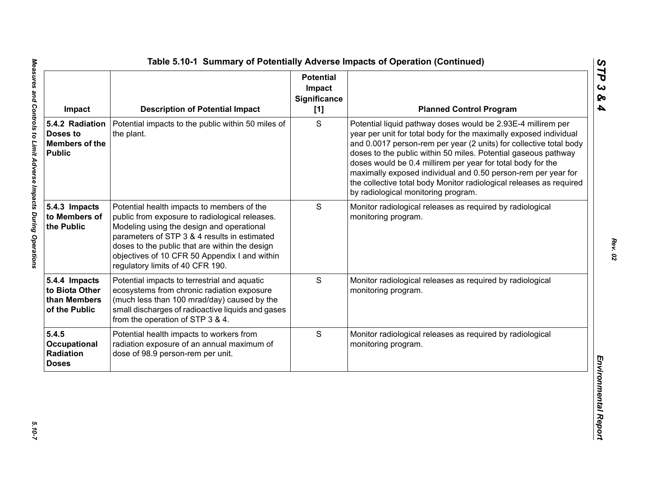| Impact                                                                | <b>Description of Potential Impact</b>                                                                                                                                                                                                                                                                                           | <b>Potential</b><br>Impact<br>Significance<br>[1] | <b>Planned Control Program</b>                                                                                                                                                                                                                                                                                                                                                                                                                                                                                          |
|-----------------------------------------------------------------------|----------------------------------------------------------------------------------------------------------------------------------------------------------------------------------------------------------------------------------------------------------------------------------------------------------------------------------|---------------------------------------------------|-------------------------------------------------------------------------------------------------------------------------------------------------------------------------------------------------------------------------------------------------------------------------------------------------------------------------------------------------------------------------------------------------------------------------------------------------------------------------------------------------------------------------|
| 5.4.2 Radiation<br>Doses to<br><b>Members of the</b><br><b>Public</b> | Potential impacts to the public within 50 miles of<br>the plant.                                                                                                                                                                                                                                                                 | S                                                 | Potential liquid pathway doses would be 2.93E-4 millirem per<br>year per unit for total body for the maximally exposed individual<br>and 0.0017 person-rem per year (2 units) for collective total body<br>doses to the public within 50 miles. Potential gaseous pathway<br>doses would be 0.4 millirem per year for total body for the<br>maximally exposed individual and 0.50 person-rem per year for<br>the collective total body Monitor radiological releases as required<br>by radiological monitoring program. |
| 5.4.3 Impacts<br>to Members of<br>the Public                          | Potential health impacts to members of the<br>public from exposure to radiological releases.<br>Modeling using the design and operational<br>parameters of STP 3 & 4 results in estimated<br>doses to the public that are within the design<br>objectives of 10 CFR 50 Appendix I and within<br>regulatory limits of 40 CFR 190. | S                                                 | Monitor radiological releases as required by radiological<br>monitoring program.                                                                                                                                                                                                                                                                                                                                                                                                                                        |
| 5.4.4 Impacts<br>to Biota Other<br>than Members<br>of the Public      | Potential impacts to terrestrial and aquatic<br>ecosystems from chronic radiation exposure<br>(much less than 100 mrad/day) caused by the<br>small discharges of radioactive liquids and gases<br>from the operation of STP 3 & 4.                                                                                               | S                                                 | Monitor radiological releases as required by radiological<br>monitoring program.                                                                                                                                                                                                                                                                                                                                                                                                                                        |
| 5.4.5<br>Occupational<br>Radiation<br><b>Doses</b>                    | Potential health impacts to workers from<br>radiation exposure of an annual maximum of<br>dose of 98.9 person-rem per unit.                                                                                                                                                                                                      | S                                                 | Monitor radiological releases as required by radiological<br>monitoring program.                                                                                                                                                                                                                                                                                                                                                                                                                                        |

*STP 3 & 4*

 $5.10 - 7$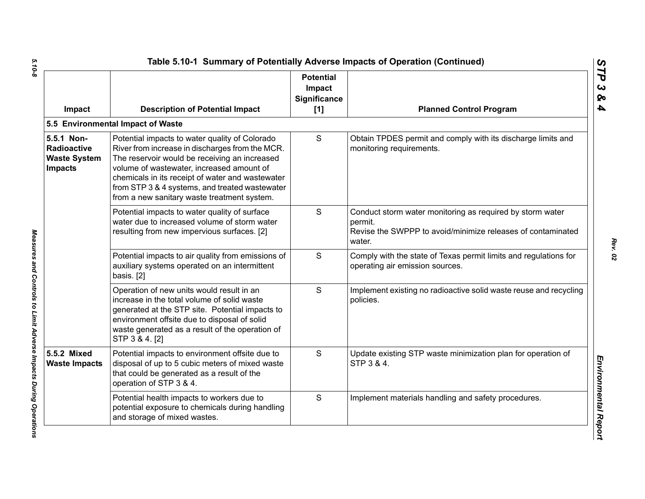| Impact                                                                    | <b>Description of Potential Impact</b>                                                                                                                                                                                                                                                                                                               | <b>Potential</b><br>Impact<br>Significance<br>[1] | <b>Planned Control Program</b>                                                                                                                |
|---------------------------------------------------------------------------|------------------------------------------------------------------------------------------------------------------------------------------------------------------------------------------------------------------------------------------------------------------------------------------------------------------------------------------------------|---------------------------------------------------|-----------------------------------------------------------------------------------------------------------------------------------------------|
|                                                                           | 5.5 Environmental Impact of Waste                                                                                                                                                                                                                                                                                                                    |                                                   |                                                                                                                                               |
| 5.5.1 Non-<br><b>Radioactive</b><br><b>Waste System</b><br><b>Impacts</b> | Potential impacts to water quality of Colorado<br>River from increase in discharges from the MCR.<br>The reservoir would be receiving an increased<br>volume of wastewater, increased amount of<br>chemicals in its receipt of water and wastewater<br>from STP 3 & 4 systems, and treated wastewater<br>from a new sanitary waste treatment system. | S                                                 | Obtain TPDES permit and comply with its discharge limits and<br>monitoring requirements.                                                      |
|                                                                           | Potential impacts to water quality of surface<br>water due to increased volume of storm water<br>resulting from new impervious surfaces. [2]                                                                                                                                                                                                         | S                                                 | Conduct storm water monitoring as required by storm water<br>permit.<br>Revise the SWPPP to avoid/minimize releases of contaminated<br>water. |
|                                                                           | Potential impacts to air quality from emissions of<br>auxiliary systems operated on an intermittent<br>basis. [2]                                                                                                                                                                                                                                    | S                                                 | Comply with the state of Texas permit limits and regulations for<br>operating air emission sources.                                           |
|                                                                           | Operation of new units would result in an<br>increase in the total volume of solid waste<br>generated at the STP site. Potential impacts to<br>environment offsite due to disposal of solid<br>waste generated as a result of the operation of<br>STP 3 & 4. [2]                                                                                     | S                                                 | Implement existing no radioactive solid waste reuse and recycling<br>policies.                                                                |
| 5.5.2 Mixed<br><b>Waste Impacts</b>                                       | Potential impacts to environment offsite due to<br>disposal of up to 5 cubic meters of mixed waste<br>that could be generated as a result of the<br>operation of STP 3 & 4.                                                                                                                                                                          | S                                                 | Update existing STP waste minimization plan for operation of<br>STP 3 & 4.                                                                    |
|                                                                           | Potential health impacts to workers due to<br>potential exposure to chemicals during handling<br>and storage of mixed wastes.                                                                                                                                                                                                                        | S                                                 | Implement materials handling and safety procedures.                                                                                           |

 $5.10 - 8$ *5.10-8 Measures and Controls to Limit Adverse Impacts During Operations* 

Measures and Controls to Limit Adverse Impacts During Operations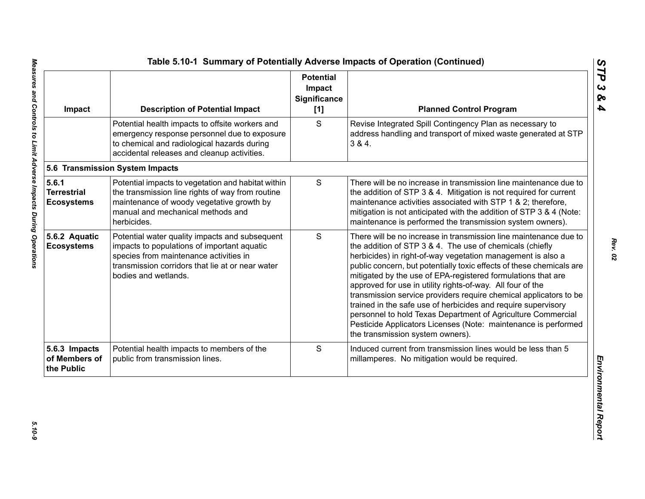| Impact                                           | <b>Description of Potential Impact</b>                                                                                                                                                                              | <b>Potential</b><br>Impact<br><b>Significance</b><br>[1] | <b>Planned Control Program</b>                                                                                                                                                                                                                                                                                                                                                                                                                                                                                                                                                                                                                                                                                 |
|--------------------------------------------------|---------------------------------------------------------------------------------------------------------------------------------------------------------------------------------------------------------------------|----------------------------------------------------------|----------------------------------------------------------------------------------------------------------------------------------------------------------------------------------------------------------------------------------------------------------------------------------------------------------------------------------------------------------------------------------------------------------------------------------------------------------------------------------------------------------------------------------------------------------------------------------------------------------------------------------------------------------------------------------------------------------------|
|                                                  | Potential health impacts to offsite workers and<br>emergency response personnel due to exposure<br>to chemical and radiological hazards during<br>accidental releases and cleanup activities.                       | S                                                        | Revise Integrated Spill Contingency Plan as necessary to<br>address handling and transport of mixed waste generated at STP<br>3 & 4.                                                                                                                                                                                                                                                                                                                                                                                                                                                                                                                                                                           |
|                                                  | 5.6 Transmission System Impacts                                                                                                                                                                                     |                                                          |                                                                                                                                                                                                                                                                                                                                                                                                                                                                                                                                                                                                                                                                                                                |
| 5.6.1<br><b>Terrestrial</b><br><b>Ecosystems</b> | Potential impacts to vegetation and habitat within<br>the transmission line rights of way from routine<br>maintenance of woody vegetative growth by<br>manual and mechanical methods and<br>herbicides.             | ${\mathsf S}$                                            | There will be no increase in transmission line maintenance due to<br>the addition of STP 3 & 4. Mitigation is not required for current<br>maintenance activities associated with STP 1 & 2; therefore,<br>mitigation is not anticipated with the addition of STP 3 & 4 (Note:<br>maintenance is performed the transmission system owners).                                                                                                                                                                                                                                                                                                                                                                     |
| 5.6.2 Aquatic<br><b>Ecosystems</b>               | Potential water quality impacts and subsequent<br>impacts to populations of important aquatic<br>species from maintenance activities in<br>transmission corridors that lie at or near water<br>bodies and wetlands. | S                                                        | There will be no increase in transmission line maintenance due to<br>the addition of STP 3 & 4. The use of chemicals (chiefly<br>herbicides) in right-of-way vegetation management is also a<br>public concern, but potentially toxic effects of these chemicals are<br>mitigated by the use of EPA-registered formulations that are<br>approved for use in utility rights-of-way. All four of the<br>transmission service providers require chemical applicators to be<br>trained in the safe use of herbicides and require supervisory<br>personnel to hold Texas Department of Agriculture Commercial<br>Pesticide Applicators Licenses (Note: maintenance is performed<br>the transmission system owners). |
| 5.6.3 Impacts<br>of Members of<br>the Public     | Potential health impacts to members of the<br>public from transmission lines.                                                                                                                                       | S                                                        | Induced current from transmission lines would be less than 5<br>millamperes. No mitigation would be required.                                                                                                                                                                                                                                                                                                                                                                                                                                                                                                                                                                                                  |

*STP 3 & 4*

*Rev. 02*

 $5.10 - 9$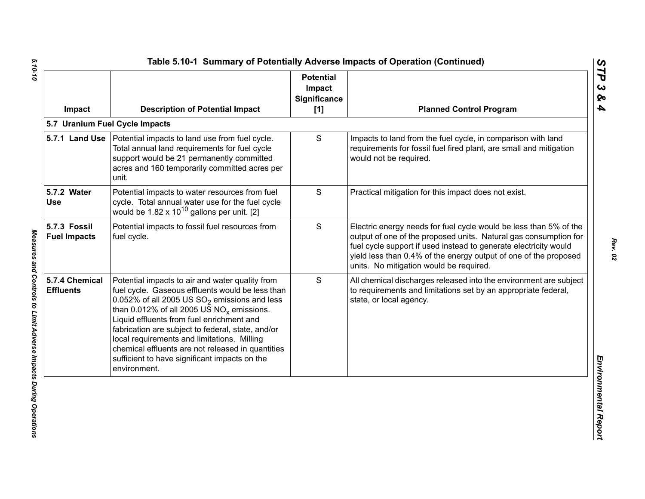| Impact                              | <b>Description of Potential Impact</b>                                                                                                                                                                                                                                                                                                                                                                                                                                        | <b>Potential</b><br>Impact<br><b>Significance</b><br>[1] | <b>Planned Control Program</b>                                                                                                                                                                                                                                                                                           |
|-------------------------------------|-------------------------------------------------------------------------------------------------------------------------------------------------------------------------------------------------------------------------------------------------------------------------------------------------------------------------------------------------------------------------------------------------------------------------------------------------------------------------------|----------------------------------------------------------|--------------------------------------------------------------------------------------------------------------------------------------------------------------------------------------------------------------------------------------------------------------------------------------------------------------------------|
|                                     | 5.7 Uranium Fuel Cycle Impacts                                                                                                                                                                                                                                                                                                                                                                                                                                                |                                                          |                                                                                                                                                                                                                                                                                                                          |
|                                     | 5.7.1 Land Use   Potential impacts to land use from fuel cycle.<br>Total annual land requirements for fuel cycle<br>support would be 21 permanently committed<br>acres and 160 temporarily committed acres per<br>unit.                                                                                                                                                                                                                                                       | S                                                        | Impacts to land from the fuel cycle, in comparison with land<br>requirements for fossil fuel fired plant, are small and mitigation<br>would not be required.                                                                                                                                                             |
| 5.7.2 Water<br><b>Use</b>           | Potential impacts to water resources from fuel<br>cycle. Total annual water use for the fuel cycle<br>would be $1.82 \times 10^{10}$ gallons per unit. [2]                                                                                                                                                                                                                                                                                                                    | S                                                        | Practical mitigation for this impact does not exist.                                                                                                                                                                                                                                                                     |
| 5.7.3 Fossil<br><b>Fuel Impacts</b> | Potential impacts to fossil fuel resources from<br>fuel cycle.                                                                                                                                                                                                                                                                                                                                                                                                                | S                                                        | Electric energy needs for fuel cycle would be less than 5% of the<br>output of one of the proposed units. Natural gas consumption for<br>fuel cycle support if used instead to generate electricity would<br>yield less than 0.4% of the energy output of one of the proposed<br>units. No mitigation would be required. |
| 5.7.4 Chemical<br><b>Effluents</b>  | Potential impacts to air and water quality from<br>fuel cycle. Gaseous effluents would be less than<br>0.052% of all 2005 US $SO_2$ emissions and less<br>than 0.012% of all 2005 US $NO_x$ emissions.<br>Liquid effluents from fuel enrichment and<br>fabrication are subject to federal, state, and/or<br>local requirements and limitations. Milling<br>chemical effluents are not released in quantities<br>sufficient to have significant impacts on the<br>environment. | S                                                        | All chemical discharges released into the environment are subject<br>to requirements and limitations set by an appropriate federal,<br>state, or local agency.                                                                                                                                                           |

*5.10-10 Measures and Controls to Limit Adverse Impacts During Operations*  Measures and Controls to Limit Adverse Impacts During Operations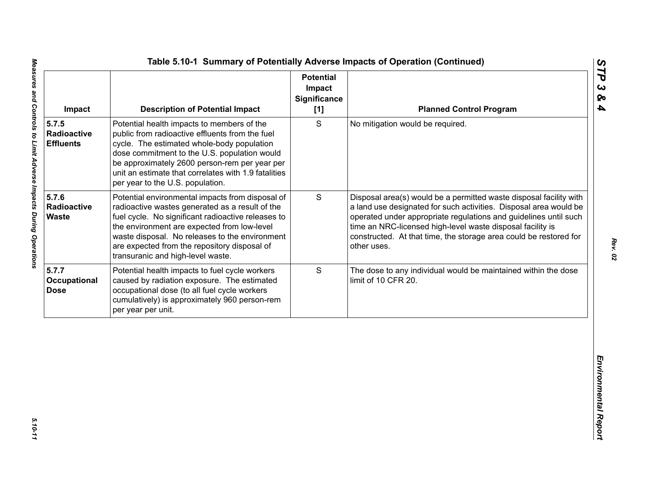| S<br>Potential health impacts to members of the<br>No mitigation would be required.<br>public from radioactive effluents from the fuel<br>Radioactive<br>cycle. The estimated whole-body population<br><b>Effluents</b><br>dose commitment to the U.S. population would<br>be approximately 2600 person-rem per year per<br>unit an estimate that correlates with 1.9 fatalities<br>per year to the U.S. population.<br>5.7.6<br>S<br>Potential environmental impacts from disposal of<br>Radioactive<br>radioactive wastes generated as a result of the<br><b>Waste</b><br>fuel cycle. No significant radioactive releases to<br>time an NRC-licensed high-level waste disposal facility is<br>the environment are expected from low-level<br>waste disposal. No releases to the environment<br>are expected from the repository disposal of<br>other uses.<br>transuranic and high-level waste.<br>S<br>Potential health impacts to fuel cycle workers<br>caused by radiation exposure. The estimated<br>limit of 10 CFR 20.<br>occupational dose (to all fuel cycle workers<br>cumulatively) is approximately 960 person-rem | Impact | <b>Description of Potential Impact</b> | <b>Potential</b><br>Impact<br><b>Significance</b><br>[1] | <b>Planned Control Program</b>                                                                                                                                                                                                                                                   |
|---------------------------------------------------------------------------------------------------------------------------------------------------------------------------------------------------------------------------------------------------------------------------------------------------------------------------------------------------------------------------------------------------------------------------------------------------------------------------------------------------------------------------------------------------------------------------------------------------------------------------------------------------------------------------------------------------------------------------------------------------------------------------------------------------------------------------------------------------------------------------------------------------------------------------------------------------------------------------------------------------------------------------------------------------------------------------------------------------------------------------------|--------|----------------------------------------|----------------------------------------------------------|----------------------------------------------------------------------------------------------------------------------------------------------------------------------------------------------------------------------------------------------------------------------------------|
|                                                                                                                                                                                                                                                                                                                                                                                                                                                                                                                                                                                                                                                                                                                                                                                                                                                                                                                                                                                                                                                                                                                                 | 5.7.5  |                                        |                                                          |                                                                                                                                                                                                                                                                                  |
| 5.7.7<br>Occupational<br><b>Dose</b>                                                                                                                                                                                                                                                                                                                                                                                                                                                                                                                                                                                                                                                                                                                                                                                                                                                                                                                                                                                                                                                                                            |        |                                        |                                                          | Disposal area(s) would be a permitted waste disposal facility with<br>a land use designated for such activities. Disposal area would be<br>operated under appropriate regulations and guidelines until such<br>constructed. At that time, the storage area could be restored for |
| per year per unit.                                                                                                                                                                                                                                                                                                                                                                                                                                                                                                                                                                                                                                                                                                                                                                                                                                                                                                                                                                                                                                                                                                              |        |                                        |                                                          | The dose to any individual would be maintained within the dose                                                                                                                                                                                                                   |
|                                                                                                                                                                                                                                                                                                                                                                                                                                                                                                                                                                                                                                                                                                                                                                                                                                                                                                                                                                                                                                                                                                                                 |        |                                        |                                                          |                                                                                                                                                                                                                                                                                  |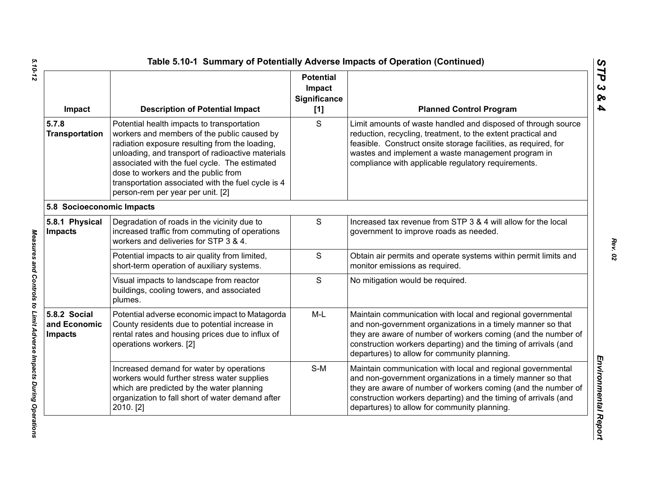| Impact                                         | <b>Description of Potential Impact</b>                                                                                                                                                                                                                                                                                                                                              | <b>Potential</b><br>Impact<br><b>Significance</b><br>[1] | <b>Planned Control Program</b>                                                                                                                                                                                                                                                                                 |
|------------------------------------------------|-------------------------------------------------------------------------------------------------------------------------------------------------------------------------------------------------------------------------------------------------------------------------------------------------------------------------------------------------------------------------------------|----------------------------------------------------------|----------------------------------------------------------------------------------------------------------------------------------------------------------------------------------------------------------------------------------------------------------------------------------------------------------------|
| 5.7.8<br><b>Transportation</b>                 | Potential health impacts to transportation<br>workers and members of the public caused by<br>radiation exposure resulting from the loading,<br>unloading, and transport of radioactive materials<br>associated with the fuel cycle. The estimated<br>dose to workers and the public from<br>transportation associated with the fuel cycle is 4<br>person-rem per year per unit. [2] | S                                                        | Limit amounts of waste handled and disposed of through source<br>reduction, recycling, treatment, to the extent practical and<br>feasible. Construct onsite storage facilities, as required, for<br>wastes and implement a waste management program in<br>compliance with applicable regulatory requirements.  |
| 5.8 Socioeconomic Impacts                      |                                                                                                                                                                                                                                                                                                                                                                                     |                                                          |                                                                                                                                                                                                                                                                                                                |
| 5.8.1 Physical<br><b>Impacts</b>               | Degradation of roads in the vicinity due to<br>increased traffic from commuting of operations<br>workers and deliveries for STP 3 & 4.                                                                                                                                                                                                                                              | ${\mathsf S}$                                            | Increased tax revenue from STP 3 & 4 will allow for the local<br>government to improve roads as needed.                                                                                                                                                                                                        |
|                                                | Potential impacts to air quality from limited,<br>short-term operation of auxiliary systems.                                                                                                                                                                                                                                                                                        | $\mathsf{S}$                                             | Obtain air permits and operate systems within permit limits and<br>monitor emissions as required.                                                                                                                                                                                                              |
|                                                | Visual impacts to landscape from reactor<br>buildings, cooling towers, and associated<br>plumes.                                                                                                                                                                                                                                                                                    | S                                                        | No mitigation would be required.                                                                                                                                                                                                                                                                               |
| 5.8.2 Social<br>and Economic<br><b>Impacts</b> | Potential adverse economic impact to Matagorda<br>County residents due to potential increase in<br>rental rates and housing prices due to influx of<br>operations workers. [2]                                                                                                                                                                                                      | $M-L$                                                    | Maintain communication with local and regional governmental<br>and non-government organizations in a timely manner so that<br>they are aware of number of workers coming (and the number of<br>construction workers departing) and the timing of arrivals (and<br>departures) to allow for community planning. |
|                                                | Increased demand for water by operations<br>workers would further stress water supplies<br>which are predicted by the water planning<br>organization to fall short of water demand after<br>2010. [2]                                                                                                                                                                               | $S-M$                                                    | Maintain communication with local and regional governmental<br>and non-government organizations in a timely manner so that<br>they are aware of number of workers coming (and the number of<br>construction workers departing) and the timing of arrivals (and<br>departures) to allow for community planning. |

Measures and Controls to Limit Adverse Impacts During Operations

*STP 3 & 4*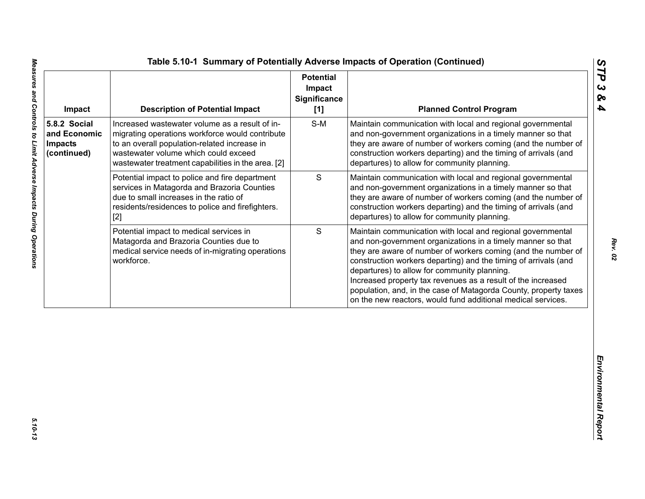| Impact                                                        | <b>Description of Potential Impact</b>                                                                                                                                                                                                          | <b>Potential</b><br>Impact<br><b>Significance</b><br>[1] | <b>Planned Control Program</b>                                                                                                                                                                                                                                                                                                                                                                                                                                                                                     |
|---------------------------------------------------------------|-------------------------------------------------------------------------------------------------------------------------------------------------------------------------------------------------------------------------------------------------|----------------------------------------------------------|--------------------------------------------------------------------------------------------------------------------------------------------------------------------------------------------------------------------------------------------------------------------------------------------------------------------------------------------------------------------------------------------------------------------------------------------------------------------------------------------------------------------|
| 5.8.2 Social<br>and Economic<br><b>Impacts</b><br>(continued) | Increased wastewater volume as a result of in-<br>migrating operations workforce would contribute<br>to an overall population-related increase in<br>wastewater volume which could exceed<br>wastewater treatment capabilities in the area. [2] | $S-M$                                                    | Maintain communication with local and regional governmental<br>and non-government organizations in a timely manner so that<br>they are aware of number of workers coming (and the number of<br>construction workers departing) and the timing of arrivals (and<br>departures) to allow for community planning.                                                                                                                                                                                                     |
|                                                               | Potential impact to police and fire department<br>services in Matagorda and Brazoria Counties<br>due to small increases in the ratio of<br>residents/residences to police and firefighters.<br>$[2]$                                            | $\mathbf S$                                              | Maintain communication with local and regional governmental<br>and non-government organizations in a timely manner so that<br>they are aware of number of workers coming (and the number of<br>construction workers departing) and the timing of arrivals (and<br>departures) to allow for community planning.                                                                                                                                                                                                     |
|                                                               | Potential impact to medical services in<br>Matagorda and Brazoria Counties due to<br>medical service needs of in-migrating operations<br>workforce.                                                                                             | S                                                        | Maintain communication with local and regional governmental<br>and non-government organizations in a timely manner so that<br>they are aware of number of workers coming (and the number of<br>construction workers departing) and the timing of arrivals (and<br>departures) to allow for community planning.<br>Increased property tax revenues as a result of the increased<br>population, and, in the case of Matagorda County, property taxes<br>on the new reactors, would fund additional medical services. |
|                                                               |                                                                                                                                                                                                                                                 |                                                          |                                                                                                                                                                                                                                                                                                                                                                                                                                                                                                                    |

 $5.10 - 13$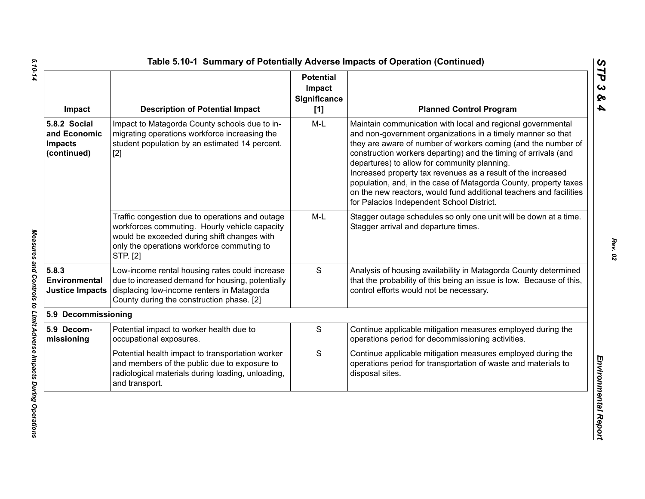| Impact                                                        | <b>Description of Potential Impact</b>                                                                                                                                                                    | <b>Potential</b><br>Impact<br><b>Significance</b><br>[1] | <b>Planned Control Program</b>                                                                                                                                                                                                                                                                                                                                                                                                                                                                                                                                        |
|---------------------------------------------------------------|-----------------------------------------------------------------------------------------------------------------------------------------------------------------------------------------------------------|----------------------------------------------------------|-----------------------------------------------------------------------------------------------------------------------------------------------------------------------------------------------------------------------------------------------------------------------------------------------------------------------------------------------------------------------------------------------------------------------------------------------------------------------------------------------------------------------------------------------------------------------|
| 5.8.2 Social<br>and Economic<br><b>Impacts</b><br>(continued) | Impact to Matagorda County schools due to in-<br>migrating operations workforce increasing the<br>student population by an estimated 14 percent.<br>$[2]$                                                 | $M-L$                                                    | Maintain communication with local and regional governmental<br>and non-government organizations in a timely manner so that<br>they are aware of number of workers coming (and the number of<br>construction workers departing) and the timing of arrivals (and<br>departures) to allow for community planning.<br>Increased property tax revenues as a result of the increased<br>population, and, in the case of Matagorda County, property taxes<br>on the new reactors, would fund additional teachers and facilities<br>for Palacios Independent School District. |
|                                                               | Traffic congestion due to operations and outage<br>workforces commuting. Hourly vehicle capacity<br>would be exceeded during shift changes with<br>only the operations workforce commuting to<br>STP. [2] | M-L                                                      | Stagger outage schedules so only one unit will be down at a time.<br>Stagger arrival and departure times.                                                                                                                                                                                                                                                                                                                                                                                                                                                             |
| 5.8.3<br>Environmental<br><b>Justice Impacts</b>              | Low-income rental housing rates could increase<br>due to increased demand for housing, potentially<br>displacing low-income renters in Matagorda<br>County during the construction phase. [2]             | S                                                        | Analysis of housing availability in Matagorda County determined<br>that the probability of this being an issue is low. Because of this,<br>control efforts would not be necessary.                                                                                                                                                                                                                                                                                                                                                                                    |
| 5.9 Decommissioning                                           |                                                                                                                                                                                                           |                                                          |                                                                                                                                                                                                                                                                                                                                                                                                                                                                                                                                                                       |
| 5.9 Decom-<br>missioning                                      | Potential impact to worker health due to<br>occupational exposures.                                                                                                                                       | S                                                        | Continue applicable mitigation measures employed during the<br>operations period for decommissioning activities.                                                                                                                                                                                                                                                                                                                                                                                                                                                      |
|                                                               | Potential health impact to transportation worker<br>and members of the public due to exposure to<br>radiological materials during loading, unloading,<br>and transport.                                   | S                                                        | Continue applicable mitigation measures employed during the<br>operations period for transportation of waste and materials to<br>disposal sites.                                                                                                                                                                                                                                                                                                                                                                                                                      |

5.10-14